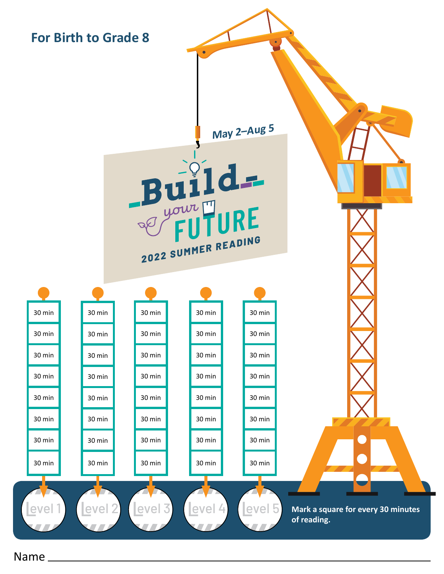

Name